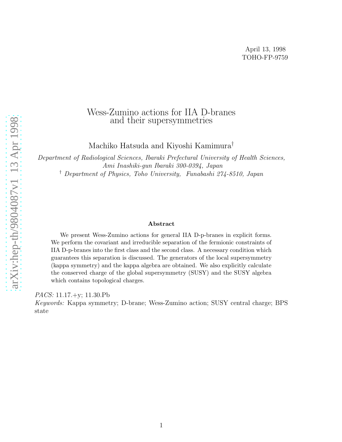### Wess-Zumino actions for IIA D-branes and their supersymmetries

Machiko Hatsuda and Kiyoshi Kamimura †

Department of Radiological Sciences, Ibaraki Prefectural University of Health Sciences, Ami Inashiki-gun Ibaraki 300-0394, Japan † Department of Physics, Toho University, Funabashi 274-8510, Japan

#### Abstract

We present Wess-Zumino actions for general IIA D-p-branes in explicit forms. We perform the covariant and irreducible separation of the fermionic constraints of IIA D-p-branes into the first class and the second class. A necessary condition which guarantees this separation is discussed. The generators of the local supersymmetry (kappa symmetry) and the kappa algebra are obtained. We also explicitly calculate the conserved charge of the global supersymmetry (SUSY) and the SUSY algebra which contains topological charges.

PACS: 11.17.+y; 11.30.Pb

Keywords: Kappa symmetry; D-brane; Wess-Zumino action; SUSY central charge; BPS state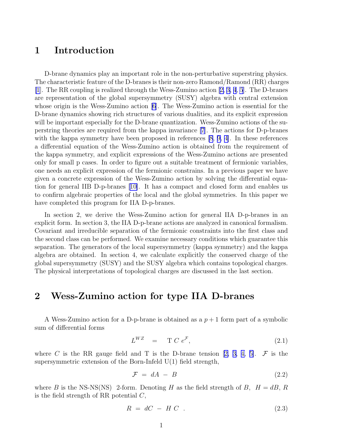# <span id="page-1-0"></span>1 Introduction

D-brane dynamics play an important role in the non-perturbative superstring physics. The characteristic feature of the D-branes is their non-zero Ramond/Ramond (RR) charges [\[1](#page-12-0)]. The RR coupling is realized through the Wess-Zumino action[[2, 3, 4](#page-13-0), [5](#page-13-0)]. The D-branes are representation of the global supersymmetry (SUSY) algebra with central extension whose origin is the Wess-Zumino action[[6\]](#page-13-0). The Wess-Zumino action is essential for the D-brane dynamics showing rich structures of various dualities, and its explicit expression will be important especially for the D-brane quantization. Wess-Zumino actions of the superstring theories are required from the kappa invariance [\[7](#page-13-0)]. The actions for D-p-branes with the kappa symmetry have been proposed in references [\[8](#page-13-0), [9, 4](#page-13-0)]. In these references a differential equation of the Wess-Zumino action is obtained from the requirement of the kappa symmetry, and explicit expressions of the Wess-Zumino actions are presented only for small p cases. In order to figure out a suitable treatment of fermionic variables, one needs an explicit expression of the fermionic constrains. In a previous paper we have given a concrete expression of the Wess-Zumino action by solving the differential equation for general IIB D-p-branes[[10\]](#page-13-0). It has a compact and closed form and enables us to confirm algebraic properties of the local and the global symmetries. In this paper we have completed this program for IIA D-p-branes.

In section 2, we derive the Wess-Zumino action for general IIA D-p-branes in an explicit form. In section 3, the IIA D-p-brane actions are analyzed in canonical formalism. Covariant and irreducible separation of the fermionic constraints into the first class and the second class can be performed. We examine necessary conditions which guarantee this separation. The generators of the local supersymmetry (kappa symmetry) and the kappa algebra are obtained. In section 4, we calculate explicitly the conserved charge of the global supersymmetry (SUSY) and the SUSY algebra which contains topological charges. The physical interpretations of topological charges are discussed in the last section.

# 2 Wess-Zumino action for type IIA D-branes

A Wess-Zumino action for a D-p-brane is obtained as a  $p+1$  form part of a symbolic sum of differential forms

$$
L^{WZ} = \mathbf{T} C e^{\mathcal{F}}, \tag{2.1}
$$

whereC is the RR gauge field and T is the D-brane tension [[2, 3, 4, 5\]](#page-13-0).  $\mathcal F$  is the supersymmetric extension of the Born-Infeld  $U(1)$  field strength,

$$
\mathcal{F} = dA - B \tag{2.2}
$$

where B is the NS-NS(NS) 2-form. Denoting H as the field strength of B,  $H = dB$ , R is the field strength of RR potential  $C$ ,

$$
R = dC - H C \t\t(2.3)
$$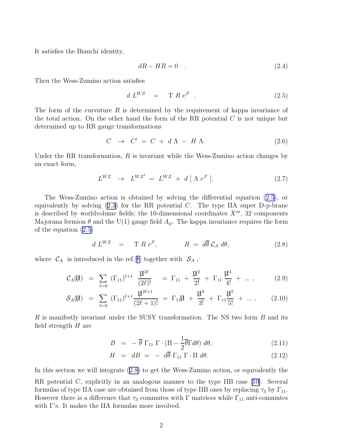<span id="page-2-0"></span>It satisfies the Bianchi identity,

$$
dR - HR = 0 \quad . \tag{2.4}
$$

Then the Wess-Zumino action satisfies

$$
d L^{WZ} = \mathcal{T} R e^{\mathcal{F}}.
$$
 (2.5)

The form of the curvature  $R$  is determined by the requirement of kappa invariance of the total action. On the other hand the form of the RR potential  $C$  is not unique but determined up to RR gauge transformations

$$
C \rightarrow C' = C + d \Lambda - H \Lambda. \tag{2.6}
$$

Under the RR transformation,  $R$  is invariant while the Wess-Zumino action changes by an exact form,

$$
L^{WZ} \rightarrow L^{WZ'} = L^{WZ} + d [\Lambda e^{\mathcal{F}}]. \tag{2.7}
$$

The Wess-Zumino action is obtained by solving the differential equation (2.5), or equivalentlyby solving  $(2.3)$  $(2.3)$  $(2.3)$  for the RR potential C. The type IIA super D-p-brane is described by worldvolume fields; the 10-dimensional coordinates  $X^m$ , 32 components Majorana fermion  $\theta$  and the U(1) gauge field  $A_{\mu}$ . The kappa invariance requires the form of the equation (2.5)

$$
d L^{WZ} = \mathbf{T} R e^{\mathcal{F}}, \qquad R = d\overline{\theta} \mathcal{C}_A d\theta, \qquad (2.8)
$$

where  $\mathcal{C}_A$  is introduced in the ref.[[8](#page-13-0)] together with  $\mathcal{S}_A$ ,

$$
\mathcal{C}_A(\Pi) = \sum_{\ell=0} (\Gamma_{11})^{\ell+1} \frac{\Pi^{2\ell}}{(2\ell)!} = \Gamma_{11} + \frac{\Pi^2}{2!} + \Gamma_{11} \frac{\Pi^4}{4!} + \dots, \qquad (2.9)
$$

$$
\mathcal{S}_A(\vec{\mu}) = \sum_{\ell=0} (\Gamma_{11})^{\ell+1} \frac{\vec{\mu}^{2\ell+1}}{(2\ell+1)!} = \Gamma_{11}\vec{\mu} + \frac{\vec{\mu}^3}{3!} + \Gamma_{11} \frac{\vec{\mu}^5}{5!} + \dots
$$
 (2.10)

R is manifestly invariant under the SUSY transformation. The NS two form  $B$  and its field strength  $H$  are

$$
B = - \overline{\theta} \Gamma_{11} \Gamma \cdot (\Pi - \frac{1}{2} \overline{\theta} \Gamma d\theta) d\theta, \qquad (2.11)
$$

$$
H = dB = - d\overline{\theta} \Gamma_{11} \Gamma \cdot \Pi d\theta. \qquad (2.12)
$$

In this section we will integrate (2.8) to get the Wess-Zumino action, or equivalently the

RR potential C, explicitly in an analogous manner to the type IIB case [\[10\]](#page-13-0). Several formulas of type IIA case are obtained from those of type IIB ones by replacing  $\tau_3$  by  $\Gamma_{11}$ . However there is a difference that  $\tau_3$  commutes with Γ matrices while  $\Gamma_{11}$  anti-commutes with Γ's. It makes the IIA formulas more involved.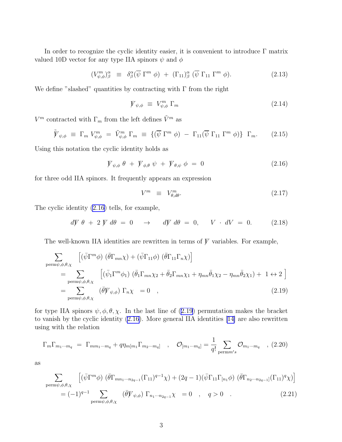<span id="page-3-0"></span>In order to recognize the cyclic identity easier, it is convenient to introduce Γ matrix valued 10D vector for any type IIA spinors  $\psi$  and  $\phi$ 

$$
(V_{\psi,\phi}^{m})_{\beta}^{\alpha} \equiv \delta_{\beta}^{\alpha}(\overline{\psi} \Gamma^{m} \phi) + (\Gamma_{11})_{\beta}^{\alpha} (\overline{\psi} \Gamma_{11} \Gamma^{m} \phi). \tag{2.13}
$$

We define "slashed" quantities by contracting with  $\Gamma$  from the right

$$
\mathcal{V}_{\psi,\phi} \equiv V_{\psi,\phi}^m \Gamma_m \tag{2.14}
$$

 $V^m$  contracted with  $\Gamma_m$  from the left defines  $\tilde{V}^m$  as

$$
\tilde{V}_{\psi,\phi} \equiv \Gamma_m V_{\psi,\phi}^m = \tilde{V}_{\psi,\phi}^m \Gamma_m \equiv \{ (\overline{\psi} \Gamma^m \phi) - \Gamma_{11} (\overline{\psi} \Gamma_{11} \Gamma^m \phi) \} \Gamma_m. \tag{2.15}
$$

Using this notation the cyclic identity holds as

$$
V_{\psi,\phi} \theta + V_{\phi,\theta} \psi + V_{\theta,\psi} \phi = 0 \qquad (2.16)
$$

for three odd IIA spinors. It frequently appears an expression

$$
V^m \equiv V^m_{\theta, d\theta}.\tag{2.17}
$$

The cyclic identity (2.16) tells, for example,

$$
d\psi \theta + 2 \psi d\theta = 0 \quad \rightarrow \quad d\psi d\theta = 0, \quad V \cdot dV = 0. \quad (2.18)
$$

The well-known IIA identities are rewritten in terms of  $\mathcal V$  variables. For example,

$$
\sum_{\substack{\text{perm}\psi,\phi,\theta,\chi}} \left[ (\bar{\psi}\Gamma^m\phi) \ (\bar{\theta}\Gamma_{mn}\chi) + (\bar{\psi}\Gamma_{11}\phi) \ (\bar{\theta}\Gamma_{11}\Gamma_n\chi) \right]
$$
\n
$$
= \sum_{\substack{\text{perm}\psi,\phi,\theta,\chi}} \left[ (\bar{\psi}_1\Gamma^m\phi_1) \ (\bar{\theta}_1\Gamma_{mn}\chi_2 + \bar{\theta}_2\Gamma_{mn}\chi_1 + \eta_{mn}\bar{\theta}_1\chi_2 - \eta_{mn}\bar{\theta}_2\chi_1) + 1 \leftrightarrow 2 \right]
$$
\n
$$
= \sum_{\substack{\text{perm}\psi,\phi,\theta,\chi}} (\bar{\theta}\gamma_{\psi,\phi}) \Gamma_n\chi = 0 \quad , \tag{2.19}
$$

for type IIA spinors  $\psi$ ,  $\phi$ ,  $\theta$ ,  $\chi$ . In the last line of (2.19) permutation makes the bracket to vanish by the cyclic identity (2.16). More general IIA identities [\[14\]](#page-13-0) are also rewritten using with the relation

$$
\Gamma_m \Gamma_{m_1 \cdots m_q} = \Gamma_{mm_1 \cdots m_q} + q \eta_{m[m_1} \Gamma_{m_2 \cdots m_q]} \quad , \quad \mathcal{O}_{[m_1 \cdots m_q]} = \frac{1}{q!} \sum_{\text{perm} m's} \mathcal{O}_{m_1 \cdots m_q} \quad , \ (2.20)
$$

as

$$
\sum_{\text{perm}\psi,\phi,\theta,\chi} \left[ (\bar{\psi}\Gamma^m\phi) \left( \bar{\theta}\Gamma_{mn_1\cdots n_{2q-1}}(\Gamma_{11})^{q-1}\chi \right) + (2q-1)(\bar{\psi}\Gamma_{11}\Gamma_{[n_1}\phi) \left( \bar{\theta}\Gamma_{n_2\cdots n_{2q-1}}(\Gamma_{11})^q\chi \right) \right]
$$
  
=  $(-1)^{q-1} \sum_{\text{perm}\psi,\phi,\theta,\chi} (\bar{\theta}\psi_{\psi,\phi}) \Gamma_{n_1\cdots n_{2q-1}}\chi = 0 \quad , \quad q > 0$  (2.21)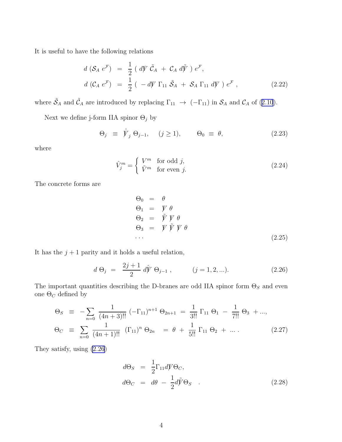<span id="page-4-0"></span>It is useful to have the following relations

$$
d\left(S_A \ e^{\mathcal{F}}\right) = \frac{1}{2} \left(d\mathcal{V} \ \tilde{C}_A + C_A \ d\tilde{\mathcal{V}}\right) e^{\mathcal{F}},
$$
  

$$
d\left(C_A \ e^{\mathcal{F}}\right) = \frac{1}{2} \left(-d\mathcal{V} \ \Gamma_{11} \ \tilde{S}_A + S_A \ \Gamma_{11} \ d\mathcal{V}\right) e^{\mathcal{F}},
$$
 (2.22)

where $\tilde{S}_A$  and  $\tilde{C}_A$  are introduced by replacing  $\Gamma_{11} \rightarrow (-\Gamma_{11})$  in  $S_A$  and  $C_A$  of ([2.10](#page-2-0)).

Next we define j-form IIA spinor  $\Theta_j$  by

$$
\Theta_j \equiv \hat{\mathcal{V}}_j \Theta_{j-1}, \quad (j \ge 1), \qquad \Theta_0 \equiv \theta, \tag{2.23}
$$

where

$$
\hat{V}_j^m = \begin{cases} V^m & \text{for odd } j, \\ \tilde{V}^m & \text{for even } j. \end{cases}
$$
 (2.24)

The concrete forms are

$$
\Theta_0 = \theta
$$
  
\n
$$
\Theta_1 = \mathcal{V} \theta
$$
  
\n
$$
\Theta_2 = \tilde{\mathcal{V}} \mathcal{V} \theta
$$
  
\n
$$
\Theta_3 = \mathcal{V} \tilde{\mathcal{V}} \mathcal{V} \theta
$$
  
\n... (2.25)

It has the  $j+1$  parity and it holds a useful relation,

$$
d \Theta_j = \frac{2j+1}{2} d\hat{V} \Theta_{j-1}, \qquad (j = 1, 2, \ldots). \qquad (2.26)
$$

The important quantities describing the D-branes are odd IIA spinor form  $\Theta_S$  and even one  $\Theta_C$  defined by

$$
\Theta_S \equiv -\sum_{n=0} \frac{1}{(4n+3)!!} \left( -\Gamma_{11} \right)^{n+1} \Theta_{2n+1} = \frac{1}{3!!} \Gamma_{11} \Theta_1 - \frac{1}{7!!} \Theta_3 + ...,
$$
  
\n
$$
\Theta_C \equiv \sum_{n=0} \frac{1}{(4n+1)!!} \left( \Gamma_{11} \right)^n \Theta_{2n} = \theta + \frac{1}{5!!} \Gamma_{11} \Theta_2 + ... \qquad (2.27)
$$

They satisfy, using (2.26)

$$
d\Theta_S = \frac{1}{2} \Gamma_{11} dV \Theta_C,
$$
  

$$
d\Theta_C = d\theta - \frac{1}{2} d\tilde{V} \Theta_S .
$$
 (2.28)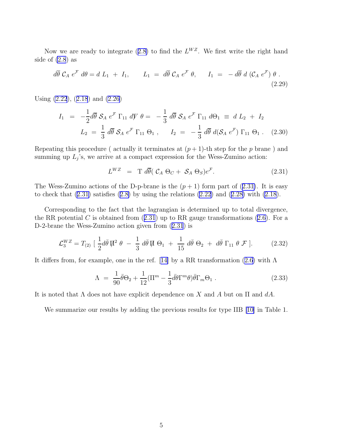<span id="page-5-0"></span>Nowwe are ready to integrate ([2.8\)](#page-2-0) to find the  $L^{WZ}$ . We first write the right hand side of  $(2.8)$  as

$$
d\overline{\theta} \mathcal{C}_A e^{\mathcal{F}} d\theta = d L_1 + I_1, \qquad L_1 = d\overline{\theta} \mathcal{C}_A e^{\mathcal{F}} \theta, \qquad I_1 = -d\overline{\theta} d (\mathcal{C}_A e^{\mathcal{F}}) \theta.
$$
\n(2.29)

Using [\(2.22](#page-4-0)),([2.18](#page-3-0)) and [\(2.26](#page-4-0))

$$
I_1 = -\frac{1}{2}d\overline{\theta} S_A e^{\mathcal{F}} \Gamma_{11} dV \theta = -\frac{1}{3} d\overline{\theta} S_A e^{\mathcal{F}} \Gamma_{11} d\Theta_1 \equiv d L_2 + I_2
$$
  

$$
L_2 = \frac{1}{3} d\overline{\theta} S_A e^{\mathcal{F}} \Gamma_{11} \Theta_1 , \qquad I_2 = -\frac{1}{3} d\overline{\theta} d(S_A e^{\mathcal{F}}) \Gamma_{11} \Theta_1 . \quad (2.30)
$$

Repeating this procedure ( actually it terminates at  $(p+1)$ -th step for the p brane) and summing up  $L_j$ 's, we arrive at a compact expression for the Wess-Zumino action:

$$
L^{WZ} = \mathcal{T} d\overline{\theta} (\mathcal{C}_A \Theta_C + \mathcal{S}_A \Theta_S) e^{\mathcal{F}}.
$$
 (2.31)

The Wess-Zumino actions of the D-p-brane is the  $(p + 1)$  form part of  $(2.31)$ . It is easy tocheck that  $(2.31)$  satisfies  $(2.8)$  $(2.8)$  by using the relations  $(2.22)$  and  $(2.28)$  $(2.28)$  with  $(2.18)$ .

Corresponding to the fact that the lagrangian is determined up to total divergence, theRR potential C is obtained from  $(2.31)$  up to RR gauge transformations  $(2.6)$  $(2.6)$ . For a D-2-brane the Wess-Zumino action given from (2.31) is

$$
\mathcal{L}_3^{WZ} = T_{(2)} \left[ \frac{1}{2} d\bar{\theta} \, \overline{\mu}^2 \, \theta \, - \, \frac{1}{3} \, d\bar{\theta} \, \overline{\mu} \, \Theta_1 \, + \, \frac{1}{15} \, d\bar{\theta} \, \Theta_2 \, + \, d\bar{\theta} \, \Gamma_{11} \, \theta \, \mathcal{F} \, \right]. \tag{2.32}
$$

Itdiffers from, for example, one in the ref. [[14\]](#page-13-0) by a RR transformation ([2.6](#page-2-0)) with  $\Lambda$ 

$$
\Lambda = \frac{1}{90}\bar{\theta}\Theta_2 + \frac{1}{12}(\Pi^m - \frac{1}{3}\bar{d}\theta\Gamma^m\theta)\bar{\theta}\Gamma_m\Theta_1.
$$
\n(2.33)

It is noted that  $\Lambda$  does not have explicit dependence on X and A but on  $\Pi$  and  $dA$ .

We summarize our results by adding the previous results for type IIB [\[10\]](#page-13-0) in Table 1.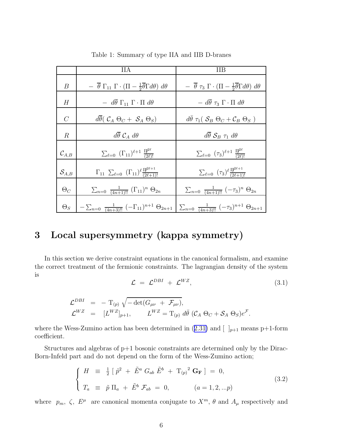|                     | HА                                                                                                                                                                              | ПB                                                                                                     |
|---------------------|---------------------------------------------------------------------------------------------------------------------------------------------------------------------------------|--------------------------------------------------------------------------------------------------------|
| $\boldsymbol{B}$    | $- \overline{\theta} \Gamma_{11} \Gamma \cdot (\Pi - \frac{1}{2} \overline{\theta} \Gamma d\theta) d\theta$                                                                     | $- \overline{\theta} \tau_3 \Gamma \cdot (\Pi - \frac{1}{2} \overline{\theta} \Gamma d\theta) d\theta$ |
| H                   | $- d\overline{\theta} \Gamma_{11} \Gamma \cdot \Pi d\theta$                                                                                                                     | $- d\overline{\theta} \tau_3 \Gamma \cdot \Pi d\theta$                                                 |
| $\mathcal{C}$       | $d\overline{\theta}$ ( $\mathcal{C}_A \Theta_C + \mathcal{S}_A \Theta_S$ )                                                                                                      | $d\bar{\theta} \tau_1 (\mathcal{S}_B \Theta_C + \mathcal{C}_B \Theta_S)$                               |
| $\mathbb{R}$        | $d\overline{\theta} \mathcal{C}_A d\theta$                                                                                                                                      | $d\overline{\theta} \mathcal{S}_B \tau_1 d\theta$                                                      |
| $\mathcal{C}_{A,B}$ | $\sum_{\ell=0}$ $(\Gamma_{11})^{\ell+1} \frac{\Pi^{\ell\ell}}{(2\ell)!}$                                                                                                        | $\sum_{\ell=0}$ $(\tau_3)^{\ell+1} \frac{\Pi^{\ell^2}}{(2\ell)!}$                                      |
| $\mathcal{S}_{A,B}$ | $\Gamma_{11} \sum_{\ell=0}$ $(\Gamma_{11})^{\ell} \frac{\Pi^{\ell}^{\ell+1}}{(2\ell+1)!}$                                                                                       | $\sum_{\ell=0}$ $(\tau_3)^{\ell} \frac{\Pi^{2\ell+1}}{(2\ell+1)!}$                                     |
| $\Theta_C$          | $\sum_{n=0}$ $\frac{1}{(4n+1)!!} (\Gamma_{11})^n \Theta_{2n}$                                                                                                                   | $\sum_{n=0} \frac{1}{(4n+1)!!} (-\tau_3)^n \Theta_{2n}$                                                |
| $\Theta_S$          | $-\sum_{n=0}^{\infty}\frac{1}{(4n+3)!!}\left(-\Gamma_{11}\right)^{n+1}\Theta_{2n+1}\left[\sum_{n=0}^{\infty}\frac{1}{(4n+3)!!}\left(-\tau_{3}\right)^{n+1}\Theta_{2n+1}\right]$ |                                                                                                        |

Table 1: Summary of type IIA and IIB D-branes

# 3 Local supersymmetry (kappa symmetry)

In this section we derive constraint equations in the canonical formalism, and examine the correct treatment of the fermionic constraints. The lagrangian density of the system is

$$
\mathcal{L} = \mathcal{L}^{DBI} + \mathcal{L}^{WZ}, \tag{3.1}
$$

$$
\mathcal{L}^{DBI} = -T_{(p)} \sqrt{-\det(G_{\mu\nu} + \mathcal{F}_{\mu\nu})},
$$
  
\n
$$
\mathcal{L}^{WZ} = [L^{WZ}]_{p+1}, \qquad L^{WZ} = T_{(p)} d\bar{\theta} (\mathcal{C}_A \Theta_C + \mathcal{S}_A \Theta_S) e^{\mathcal{F}}.
$$

wherethe Wess-Zumino action has been determined in ([2.31\)](#page-5-0) and  $[\ ]_{p+1}$  means p+1-form coefficient.

Structures and algebras of  $p+1$  bosonic constraints are determined only by the Dirac-Born-Infeld part and do not depend on the form of the Wess-Zumino action;

$$
\begin{cases}\nH = \frac{1}{2} [\tilde{p}^2 + \tilde{E}^a G_{ab} \tilde{E}^b + T_{(p)}^2 \mathbf{G_F}] = 0, \\
T_a = \tilde{p} \Pi_a + \tilde{E}^b \mathcal{F}_{ab} = 0, \qquad (a = 1, 2, ...p)\n\end{cases}
$$
\n(3.2)

where  $p_m$ ,  $\zeta$ ,  $E^{\mu}$  are canonical momenta conjugate to  $X^m$ ,  $\theta$  and  $A_{\mu}$  respectively and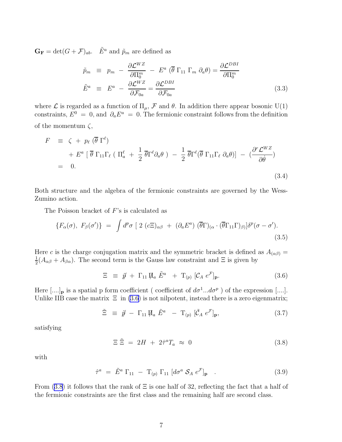<span id="page-7-0"></span> $\mathbf{G_F} = \det(G + \mathcal{F})_{ab}$ .  $\tilde{E}^a$  and  $\tilde{p}_m$  are defined as

$$
\tilde{p}_m \equiv p_m - \frac{\partial \mathcal{L}^{WZ}}{\partial \Pi_0^m} - E^a (\overline{\theta} \Gamma_{11} \Gamma_m \partial_a \theta) = \frac{\partial \mathcal{L}^{DBI}}{\partial \Pi_0^m}
$$
\n
$$
\tilde{E}^a \equiv E^a - \frac{\partial \mathcal{L}^{WZ}}{\partial \mathcal{F}_{0a}} = \frac{\partial \mathcal{L}^{DBI}}{\partial \mathcal{F}_{0a}} \tag{3.3}
$$

where  $\mathcal L$  is regarded as a function of  $\Pi_\mu$ ,  $\mathcal F$  and  $\theta$ . In addition there appear bosonic U(1) constraints,  $E^0 = 0$ , and  $\partial_a E^a = 0$ . The fermionic constraint follows from the definition of the momentum  $\zeta$ ,

$$
F \equiv \zeta + p_{\ell} (\overline{\theta} \Gamma^{\ell})
$$
  
+  $E^{a} [\overline{\theta} \Gamma_{11} \Gamma_{\ell} (\Pi_{a}^{\ell} + \frac{1}{2} \overline{\theta} \Gamma^{\ell} \partial_{a} \theta) - \frac{1}{2} \overline{\theta} \Gamma^{\ell} (\overline{\theta} \Gamma_{11} \Gamma_{\ell} \partial_{a} \theta)] - (\frac{\partial^{r} \mathcal{L}^{WZ}}{\partial \dot{\theta}})$   
= 0. (3.4)

Both structure and the algebra of the fermionic constraints are governed by the Wess-Zumino action.

The Poisson bracket of F's is calculated as

$$
\{F_{\alpha}(\sigma), F_{\beta}(\sigma')\} = \int d^p \sigma \left[ 2 \left( c \Xi \right)_{\alpha \beta} + (\partial_a E^a) \left( \overline{\theta} \Gamma_{\alpha} \cdot (\overline{\theta} \Gamma_{11} \Gamma)_{\beta} \right) \right] \delta^p(\sigma - \sigma'). \tag{3.5}
$$

Here c is the charge conjugation matrix and the symmetric bracket is defined as  $A_{(\alpha\beta)} =$ 1  $\frac{1}{2}(A_{\alpha\beta} + A_{\beta\alpha})$ . The second term is the Gauss law constraint and  $\Xi$  is given by

$$
\Xi \equiv \tilde{p} + \Gamma_{11} \Psi_a \tilde{E}^a + \Gamma_{(p)} \left[ C_A e^{\mathcal{F}} \right]_{\mathbf{P}}.
$$
 (3.6)

Here  $[\dots]_{\mathbf{p}}$  is a spatial p form coefficient (coefficient of  $d\sigma^1...d\sigma^p$ ) of the expression [....]. Unlike IIB case the matrix  $\Xi$  in (3.6) is not nilpotent, instead there is a zero eigenmatrix;

$$
\tilde{\Xi} \equiv \tilde{p} - \Gamma_{11} \Pi_a \tilde{E}^a - \Gamma_{(p)} [\tilde{\mathcal{C}}_A e^{\mathcal{F}}]_{\mathbf{p}}, \qquad (3.7)
$$

satisfying

$$
\Xi \,\tilde{\Xi} = 2H + 2\hat{\tau}^a T_a \approx 0 \tag{3.8}
$$

with

$$
\hat{\tau}^a = \tilde{E}^a \Gamma_{11} - \Gamma_{(p)} \Gamma_{11} \left[ d\sigma^a \mathcal{S}_A e^{\mathcal{F}} \right]_{\mathbf{p}} \quad . \tag{3.9}
$$

From (3.8) it follows that the rank of  $\Xi$  is one half of 32, reflecting the fact that a half of the fermionic constraints are the first class and the remaining half are second class.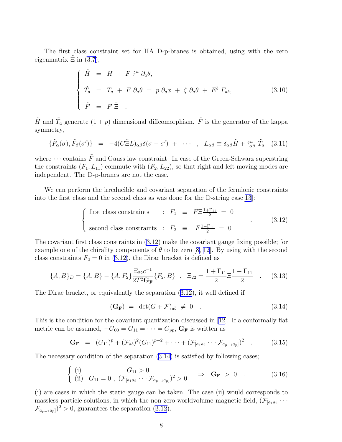<span id="page-8-0"></span>The first class constraint set for IIA D-p-branes is obtained, using with the zero eigenmatrix $\Xi$  in ([3.7\)](#page-7-0),

$$
\begin{cases}\n\tilde{H} = H + F \hat{\tau}^a \partial_a \theta, \\
\tilde{T}_a = T_a + F \partial_a \theta = p \partial_a x + \zeta \partial_a \theta + E^b F_{ab}, \\
\tilde{F} = F \tilde{\Xi} .\n\end{cases} (3.10)
$$

 $\tilde{H}$  and  $\tilde{T}_a$  generate  $(1+p)$  dimensional diffeomorphism.  $\tilde{F}$  is the generator of the kappa symmetry,

$$
\{\tilde{F}_{\alpha}(\sigma),\tilde{F}_{\beta}(\sigma')\} = -4(C\tilde{\Xi}L)_{\alpha\beta}\delta(\sigma-\sigma') + \cdots , L_{\alpha\beta} \equiv \delta_{\alpha\beta}\tilde{H} + \hat{\tau}^{a}_{\alpha\beta}\tilde{T}_{a} \quad (3.11)
$$

where  $\cdots$  contains  $\tilde{F}$  and Gauss law constraint. In case of the Green-Schwarz superstring the constraints  $(\tilde{F}_1, L_{11})$  commute with  $(\tilde{F}_2, L_{22})$ , so that right and left moving modes are independent. The D-p-branes are not the case.

We can perform the irreducible and covariant separation of the fermionic constraints into the first class and the second class as was done for the D-string case[[13](#page-13-0)]:

$$
\begin{cases} \text{first class constraints} & \text{: } \tilde{F}_1 \equiv F \tilde{\Xi} \frac{1 + \Gamma_{11}}{2} = 0 \\ \text{second class constraints} & \text{: } F_2 \equiv F \frac{1 - \Gamma_{11}}{2} = 0 \end{cases}
$$
 (3.12)

The covariant first class constraints in (3.12) make the covariant gauge fixing possible; for example one of the chirality components of  $\theta$  to be zero [\[8, 12](#page-13-0)]. By using with the second class constraints  $F_2 = 0$  in (3.12), the Dirac bracket is defined as

$$
\{A, B\}_D = \{A, B\} - \{A, F_2\} \frac{\Xi_{22} c^{-1}}{2T^2 \mathbf{G_F}} \{F_2, B\} , \quad \Xi_{22} = \frac{1 + \Gamma_{11}}{2} \Xi \frac{1 - \Gamma_{11}}{2} . \tag{3.13}
$$

The Dirac bracket, or equivalently the separation (3.12), it well defined if

$$
(\mathbf{G}_{\mathbf{F}}) = \det(G + \mathcal{F})_{ab} \neq 0 \quad . \tag{3.14}
$$

This is the condition for the covariant quantization discussed in[[12](#page-13-0)]. If a conformally flat metric can be assumed,  $-G_{00} = G_{11} = \cdots = G_{pp}$ ,  $\mathbf{G}_{\mathbf{F}}$  is written as

$$
\mathbf{G}_{\mathbf{F}} = (G_{11})^{p} + (\mathcal{F}_{ab})^{2} (G_{11})^{p-2} + \cdots + (\mathcal{F}_{[a_{1}a_{2}} \cdots \mathcal{F}_{a_{p-1}a_{p}]} )^{2} \quad . \tag{3.15}
$$

The necessary condition of the separation (3.14) is satisfied by following cases;

$$
\begin{cases}\n(i) & G_{11} > 0 \\
(ii) & G_{11} = 0, \ (\mathcal{F}_{[a_{1}a_{2}} \cdots \mathcal{F}_{a_{p-1}a_{p}]})^{2} > 0 \end{cases} \Rightarrow \mathbf{G}_{\mathbf{F}} > 0 . \tag{3.16}
$$

(i) are cases in which the static gauge can be taken. The case (ii) would corresponds to massless particle solutions, in which the non-zero worldvolume magnetic field,  $(\mathcal{F}_{a_1a_2}\cdots)$  $\mathcal{F}_{a_{p-1}a_p}$ <sup>2</sup> > 0, guarantees the separation (3.12).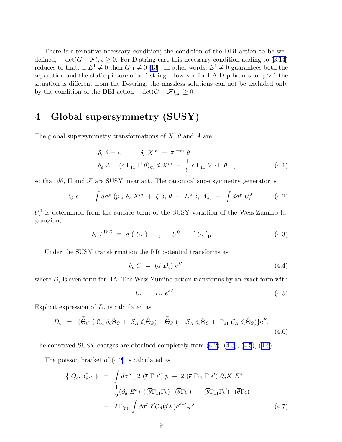<span id="page-9-0"></span>There is alternative necessary condition; the condition of the DBI action to be well defined,  $-\det(G+\mathcal{F})_{\mu\nu} \geq 0$ . For D-string case this necessary condition adding to [\(3.14](#page-8-0)) reduces to that: if  $E^1 \neq 0$  then  $G_{11} \neq 0$  [\[13\]](#page-13-0). In other words,  $E^1 \neq 0$  guarantees both the separation and the static picture of a D-string. However for IIA D-p-branes for  $p > 1$  the situation is different from the D-string, the massless solutions can not be excluded only by the condition of the DBI action  $-\det(G+\mathcal{F})_{\mu\nu}\geq 0$ .

# 4 Global supersymmetry (SUSY)

The global supersymmetry transformations of  $X$ ,  $\theta$  and  $A$  are

$$
\delta_{\epsilon} \theta = \epsilon, \qquad \delta_{\epsilon} X^{m} = \overline{\epsilon} \Gamma^{m} \theta
$$
  

$$
\delta_{\epsilon} A = (\overline{\epsilon} \Gamma_{11} \Gamma \theta)_{m} d X^{m} - \frac{1}{6} \overline{\epsilon} \Gamma_{11} V \cdot \Gamma \theta , \qquad (4.1)
$$

so that  $d\theta$ ,  $\Pi$  and  $\mathcal F$  are SUSY invariant. The canonical supersymmetry generator is

$$
Q \epsilon = \int d\sigma^p (p_m \delta_{\epsilon} X^m + \zeta \delta_{\epsilon} \theta + E^a \delta_{\epsilon} A_a) - \int d\sigma^p U_{\epsilon}^0.
$$
 (4.2)

 $U_{\epsilon}^{0}$  is determined from the surface term of the SUSY variation of the Wess-Zumino lagrangian,

$$
\delta_{\epsilon} L^{WZ} \equiv d \left( U_{\epsilon} \right) , \qquad U_{\epsilon}^{0} = \left[ U_{\epsilon} \right]_{\mathbf{p}} . \tag{4.3}
$$

Under the SUSY transformation the RR potential transforms as

$$
\delta_{\epsilon} C = (d D_{\epsilon}) e^{B} \tag{4.4}
$$

where  $D_{\epsilon}$  is even form for IIA. The Wess-Zumino action transforms by an exact form with

$$
U_{\epsilon} = D_{\epsilon} e^{dA}.
$$
\n(4.5)

Explicit expression of  $D_{\epsilon}$  is calculated as

$$
D_{\epsilon} = \{ \tilde{\Theta}_{C} \left( \mathcal{C}_{A} \, \delta_{\epsilon} \hat{\Theta}_{C} + \mathcal{S}_{A} \, \delta_{\epsilon} \hat{\Theta}_{S} \right) + \tilde{\Theta}_{S} \left( - \tilde{\mathcal{S}}_{A} \, \delta_{\epsilon} \hat{\Theta}_{C} + \Gamma_{11} \, \tilde{\mathcal{C}}_{A} \, \delta_{\epsilon} \hat{\Theta}_{S} \right) \} e^{B}.
$$
\n(4.6)

The conserved SUSY charges are obtained completely from  $(4.2)$ ,  $(4.3)$ ,  $(4.5)$ ,  $(4.6)$ .

The poisson bracket of (4.2) is calculated as

$$
\{ Q_{\epsilon}, Q_{\epsilon'} \} = \int d\sigma^{p} \left[ 2 (\overline{\epsilon} \Gamma \epsilon') p + 2 (\overline{\epsilon} \Gamma_{11} \Gamma \epsilon') \partial_{a} X E^{a} \right] - \frac{1}{2} (\partial_{a} E^{a}) \{ (\overline{\theta} \Gamma_{11} \Gamma \epsilon) \cdot (\overline{\theta} \Gamma \epsilon') - (\overline{\theta} \Gamma_{11} \Gamma \epsilon') \cdot (\overline{\theta} \Gamma \epsilon) \} \right] - 2T_{(p)} \int d\sigma^{p} \bar{\epsilon} [\mathcal{C}_{A}(dX) e^{dA}]_{\mathbf{p}} \epsilon' .
$$
 (4.7)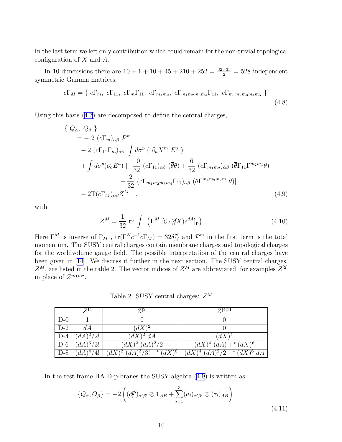<span id="page-10-0"></span>In the last term we left only contribution which could remain for the non-trivial topological configuration of X and A.

In 10-dimensions there are  $10 + 1 + 10 + 45 + 210 + 252 = \frac{32 \times 33}{2} = 528$  independent symmetric Gamma matrices;

$$
c\Gamma_M = \{ c\Gamma_m, c\Gamma_{11}, c\Gamma_m\Gamma_{11}, c\Gamma_{m_1m_2}, c\Gamma_{m_1m_2m_3m_4}\Gamma_{11}, c\Gamma_{m_1m_2m_3m_4m_5} \},
$$
\n(4.8)

Using this basis [\(4.7](#page-9-0)) are decomposed to define the central charges,

$$
\begin{split}\n\{Q_{\alpha}, Q_{\beta}\} \\
&= -2\left(c\Gamma_{m}\right)_{\alpha\beta} \mathcal{P}^{m} \\
&-2\left(c\Gamma_{11}\Gamma_{m}\right)_{\alpha\beta} \int d\sigma^{p} \left(\partial_{a}X^{m} E^{a}\right) \\
&+ \int d\sigma^{p}(\partial_{a}E^{a}) \left[-\frac{10}{32}\left(c\Gamma_{11}\right)_{\alpha\beta} \left(\overline{\theta}\theta\right) + \frac{6}{32}\left(c\Gamma_{m_{1}m_{2}}\right)_{\alpha\beta} \left(\overline{\theta}\Gamma_{11}\Gamma^{m_{2}m_{1}}\theta\right)\right. \\
&\left. - \frac{2}{32}\left(c\Gamma_{m_{1}m_{2}m_{3}m_{4}}\Gamma_{11}\right)_{\alpha\beta} \left(\overline{\theta}\Gamma^{m_{4}m_{3}m_{2}m_{1}}\theta\right)\right] \\
&- 2\Gamma(c\Gamma_{M})_{\alpha\beta}Z^{M}\n\end{split} \tag{4.9}
$$

with

$$
Z^{M} = \frac{1}{32} \operatorname{tr} \int \left( \Gamma^{M} \left[ \mathcal{C}_{A}(dX)e^{dA} \right]_{\text{P}} \right) \quad . \tag{4.10}
$$

Here  $\Gamma^M$  is inverse of  $\Gamma_M$ ,  $\text{tr}(\Gamma^N c^{-1} c \Gamma_M) = 32 \delta_M^N$  and  $\mathcal{P}^m$  in the first term is the total momentum. The SUSY central charges contain membrane charges and topological charges for the worldvolume gauge field. The possible interpretation of the central charges have been given in[[14](#page-13-0)]. We discuss it further in the next section. The SUSY central charges,  $Z^M$ , are listed in the table 2. The vector indices of  $Z^M$  are abbreviated, for examples  $Z^{[2]}$ in place of  $Z^{m_1m_2}$ .

Table 2: SUSY central charges:  $Z^M$ 

|       | $Z^{11}$              | $Z^{[2]}$                                               | $Z^{[4]11}$                       |
|-------|-----------------------|---------------------------------------------------------|-----------------------------------|
| $D-0$ |                       |                                                         |                                   |
| $D-2$ | dA                    | $(dX)^2$                                                |                                   |
| $D-4$ | $(dA)^{2}/2!$         | $(dX)^2 dA$                                             | $(dX)^4$                          |
| $D-6$ | $(dA)^3\overline{3!}$ | $(dX)^2 (dA)^2/2$                                       | $(dX)^4$ $(dA)$ + $(dX)^6$        |
| $D-8$ | $(dA)^4/4!$           | $\left( dX \right)^2 (dA)^3/3!$ + $\left( dX \right)^8$ | $(dX)^4$ $(dA)^2/2$ + $(dX)^6$ dA |

In the rest frame IIA D-p-branes the SUSY algebra (4.9) is written as

$$
\{Q_{\alpha}, Q_{\beta}\} = -2\left((d\mathcal{P})_{\alpha'\beta'} \otimes \mathbf{1}_{AB} + \sum_{i=1}^{3} (a_i)_{\alpha'\beta'} \otimes (\tau_i)_{AB}\right)
$$
\n(4.11)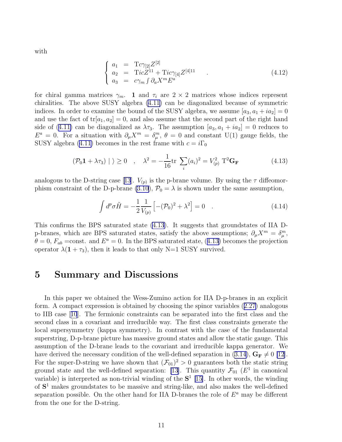with

$$
\begin{cases}\n a_1 = T c \gamma_{[2]} Z^{[2]} \\
 a_2 = T i c Z^{11} + T i c \gamma_{[4]} Z^{[4]11} \\
 a_3 = c \gamma_m \int \partial_a X^m E^a\n\end{cases} \tag{4.12}
$$

for chiral gamma matrices  $\gamma_m$ . 1 and  $\tau_i$  are  $2 \times 2$  matrices whose indices represent chiralities. The above SUSY algebra [\(4.11](#page-10-0)) can be diagonalized because of symmetric indices. In order to examine the bound of the SUSY algebra, we assume  $[a_3, a_1 + ia_2] = 0$ and use the fact of  $tr[a_1, a_2] = 0$ , and also assume that the second part of the right hand sideof ([4.11\)](#page-10-0) can be diagonalized as  $\lambda \tau_3$ . The assumption  $[a_3, a_1 + ia_2] = 0$  reduces to  $E^a = 0$ . For a situation with  $\partial_\mu X^m = \delta_\mu^m$ ,  $\theta = 0$  and constant U(1) gauge fields, the SUSY algebra [\(4.11\)](#page-10-0) becomes in the rest frame with  $c = i\Gamma_0$ 

$$
(\mathcal{P}_0 \mathbf{1} + \lambda \tau_3) | \rangle \ge 0 \quad , \quad \lambda^2 = -\frac{1}{16} \text{tr} \sum_i (a_i)^2 = V_{(p)}^2 \; \mathbf{T}^2 \mathbf{G}_{\mathbf{F}} \tag{4.13}
$$

analogousto the D-string case [[13](#page-13-0)].  $V_{(p)}$  is the p-brane volume. By using the  $\tau$  diffeomor-phism constraint of the D-p-brane [\(3.10](#page-8-0)),  $\mathcal{P}_0 = \lambda$  is shown under the same assumption,

$$
\int d^p \sigma \tilde{H} = -\frac{1}{2} \frac{1}{V_{(p)}} \left[ - (\mathcal{P}_0)^2 + \lambda^2 \right] = 0 \quad . \tag{4.14}
$$

This confirms the BPS saturated state (4.13). It suggests that groundstates of IIA Dp-branes, which are BPS saturated states, satisfy the above assumptions;  $\partial_{\mu}X^{m} = \delta_{\mu}^{m}$ ,  $\theta = 0$ ,  $F_{ab}$  =const. and  $E^a = 0$ . In the BPS saturated state, (4.13) becomes the projection operator  $\lambda(1+\tau_3)$ , then it leads to that only N=1 SUSY survived.

## 5 Summary and Discussions

In this paper we obtained the Wess-Zumino action for IIA D-p-branes in an explicit form. A compact expression is obtained by choosing the spinor variables([2.27\)](#page-4-0) analogous to IIB case[[10](#page-13-0)]. The fermionic constraints can be separated into the first class and the second class in a covariant and irreducible way. The first class constraints generate the local supersymmetry (kappa symmetry). In contrast with the case of the fundamental superstring, D-p-brane picture has massive ground states and allow the static gauge. This assumption of the D-brane leads to the covariant and irreducible kappa generator. We havederived the necessary condition of the well-defined separation in ([3.14\)](#page-8-0),  $G_F \neq 0$  [\[12](#page-13-0)]. For the super-D-string we have shown that  $(\mathcal{F}_{01})^2 > 0$  guarantees both the static string ground state and the well-defined separation: [\[13\]](#page-13-0). This quantity  $\mathcal{F}_{01}$  ( $E^1$  in canonical variable) is interpreted as non-trivial winding of the  $S<sup>1</sup>$  [\[15\]](#page-13-0). In other words, the winding of S <sup>1</sup> makes groundstates to be massive and string-like, and also makes the well-defined separation possible. On the other hand for IIA D-branes the role of  $E^a$  may be different from the one for the D-string.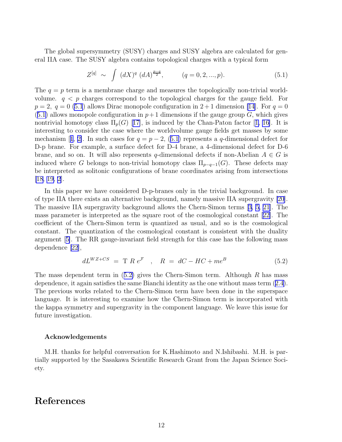<span id="page-12-0"></span>The global supersymmetry (SUSY) charges and SUSY algebra are calculated for general IIA case. The SUSY algebra contains topological charges with a typical form

$$
Z^{[q]} \sim \int (dX)^q (dA)^{\frac{p-q}{2}}, \qquad (q = 0, 2, ..., p). \tag{5.1}
$$

The  $q = p$  term is a membrane charge and measures the topologically non-trivial worldvolume.  $q \leq p$  charges correspond to the topological charges for the gauge field. For  $p = 2, q = 0 (5.1)$  allows Dirac monopole configuration in  $2 + 1$  dimension [\[14](#page-13-0)]. For  $q = 0$  $(5.1)$  allows monopole configuration in  $p+1$  dimensions if the gauge group G, which gives nontrivialhomotopy class  $\Pi_p(G)$  [[17\]](#page-13-0), is induced by the Chan-Paton factor [1, [16\]](#page-13-0). It is interesting to consider the case where the worldvolume gauge fields get masses by some mechanism [1, [2\]](#page-13-0). In such cases for  $q = p - 2$ , (5.1) represents a q-dimensional defect for D-p brane. For example, a surface defect for D-4 brane, a 4-dimensional defect for D-6 brane, and so on. It will also represents q-dimensional defects if non-Abelian  $A \in G$  is induced where G belongs to non-trivial homotopy class  $\Pi_{p-q-1}(G)$ . These defects may be interpreted as solitonic configurations of brane coordinates arising from intersections [\[18](#page-13-0), [19, 2\]](#page-13-0).

In this paper we have considered D-p-branes only in the trivial background. In case of type IIA there exists an alternative background, namely massive IIA supergravity [\[20](#page-13-0)]. The massive IIA supergravity background allows the Chern-Simon terms[[3, 5,](#page-13-0) [21](#page-14-0)]. The mass parameter is interpreted as the square root of the cosmological constant[[22\]](#page-14-0). The coefficient of the Chern-Simon term is quantized as usual, and so is the cosmological constant. The quantization of the cosmological constant is consistent with the duality argument[[5\]](#page-13-0). The RR gauge-invariant field strength for this case has the following mass dependence [\[22\]](#page-14-0),

$$
dL^{WZ+CS} = T R e^{\mathcal{F}} , \quad R = dC - HC + me^B
$$
 (5.2)

The mass dependent term in  $(5.2)$  gives the Chern-Simon term. Although R has mass dependence, it again satisfies the same Bianchi identity as the one without mass term([2.4\)](#page-2-0). The previous works related to the Chern-Simon term have been done in the superspace language. It is interesting to examine how the Chern-Simon term is incorporated with the kappa symmetry and supergravity in the component language. We leave this issue for future investigation.

### Acknowledgements

M.H. thanks for helpful conversation for K.Hashimoto and N.Ishibashi. M.H. is partially supported by the Sasakawa Scientific Research Grant from the Japan Science Society.

## References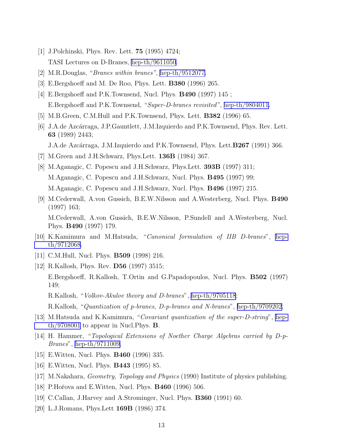- <span id="page-13-0"></span>[1] J.Polchinski, Phys. Rev. Lett. 75 (1995) 4724; TASI Lectures on D-Branes, [hep-th/9611050](http://arxiv.org/abs/hep-th/9611050).
- [2] M.R.Douglas, "Branes within branes", [hep-th/9512077.](http://arxiv.org/abs/hep-th/9512077)
- [3] E.Bergshoeff and M. De Roo, Phys. Lett. B380 (1996) 265.
- [4] E.Bergshoeff and P.K.Townsend, Nucl. Phys. B490 (1997) 145 ; E.Bergshoeff and P.K.Townsend, "Super-D-branes revisited", [hep-th/9804011.](http://arxiv.org/abs/hep-th/9804011)
- [5] M.B.Green, C.M.Hull and P.K.Townsend, Phys. Lett. B382 (1996) 65.
- [6] J.A.de Azcárraga, J.P.Gauntlett, J.M.Izquierdo and P.K.Townsend, Phys. Rev. Lett. 63 (1989) 2443; J.A.de Azcárraga, J.M.Izquierdo and P.K.Townsend, Phys. Lett.**B267** (1991) 366.
	-
- [7] M.Green and J.H.Schwarz, Phys.Lett. 136B (1984) 367.
- [8] M.Aganagic, C. Popescu and J.H.Schwarz, Phys.Lett. 393B (1997) 311; M.Aganagic, C. Popescu and J.H.Schwarz, Nucl. Phys. B495 (1997) 99; M.Aganagic, C. Popescu and J.H.Schwarz, Nucl. Phys. B496 (1997) 215.
- [9] M.Cederwall, A.von Gussich, B.E.W.Nilsson and A.Westerberg, Nucl. Phys. B490 (1997) 163; M.Cederwall, A.von Gussich, B.E.W.Nilsson, P.Sundell and A.Westerberg, Nucl. Phys. B490 (1997) 179.
- [10] K.Kamimura and M.Hatsuda, "Canonical formulation of IIB D-branes", [hep](http://arxiv.org/abs/hep-th/9712068)[th/9712068](http://arxiv.org/abs/hep-th/9712068).
- [11] C.M.Hull, Nucl. Phys. B509 (1998) 216.
- [12] R.Kallosh, Phys. Rev. D56 (1997) 3515; E.Bergshoeff, R.Kallosh, T.Ortin and G.Papadopoulos, Nucl. Phys. B502 (1997) 149; R.Kallosh, "Volkov-Akulov theory and D-branes", [hep-th/9705118](http://arxiv.org/abs/hep-th/9705118); R.Kallosh, "Quantization of p-branes, D-p-branes and N-branes", [hep-th/9709202.](http://arxiv.org/abs/hep-th/9709202)
- [13] M.Hatsuda and K.Kamimura, "Covariant quantization of the super-D-string", [hep](http://arxiv.org/abs/hep-th/9708001)[th/9708001](http://arxiv.org/abs/hep-th/9708001) to appear in Nucl.Phys. B.
- [14] H. Hammer, "Topological Extensions of Noether Charge Algebras carried by D-p-Branes", [hep-th/9711009.](http://arxiv.org/abs/hep-th/9711009)
- [15] E.Witten, Nucl. Phys. B460 (1996) 335.
- [16] E.Witten, Nucl. Phys. B443 (1995) 85.
- [17] M.Nakahara, Geometry, Topology and Physics (1990) Institute of physics publishing.
- [18] P.Hořova and E.Witten, Nucl. Phys. **B460** (1996) 506.
- [19] C.Callan, J.Harvey and A.Strominger, Nucl. Phys. B360 (1991) 60.
- [20] L.J.Romans, Phys.Lett 169B (1986) 374.